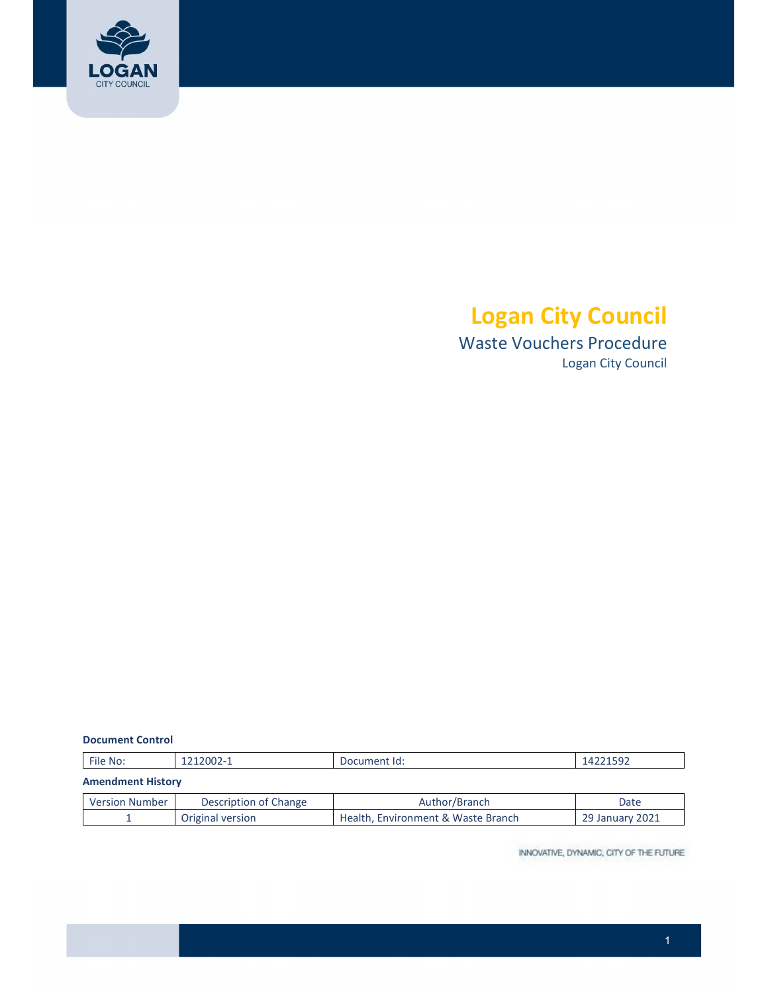

# **Logan City Council**

 Waste Vouchers Procedure Logan City Council

#### **Document Control**

| File No:                 | 1212002-1 | Document Id: | 14221592 |  |  |
|--------------------------|-----------|--------------|----------|--|--|
| <b>Amendment History</b> |           |              |          |  |  |

| Version Number | Description of Change | Author/Branch                      | Date            |
|----------------|-----------------------|------------------------------------|-----------------|
|                | Original version      | Health, Environment & Waste Branch | 29 January 2021 |

INNOVATIVE, DYNAMIC, CITY OF THE FUTURE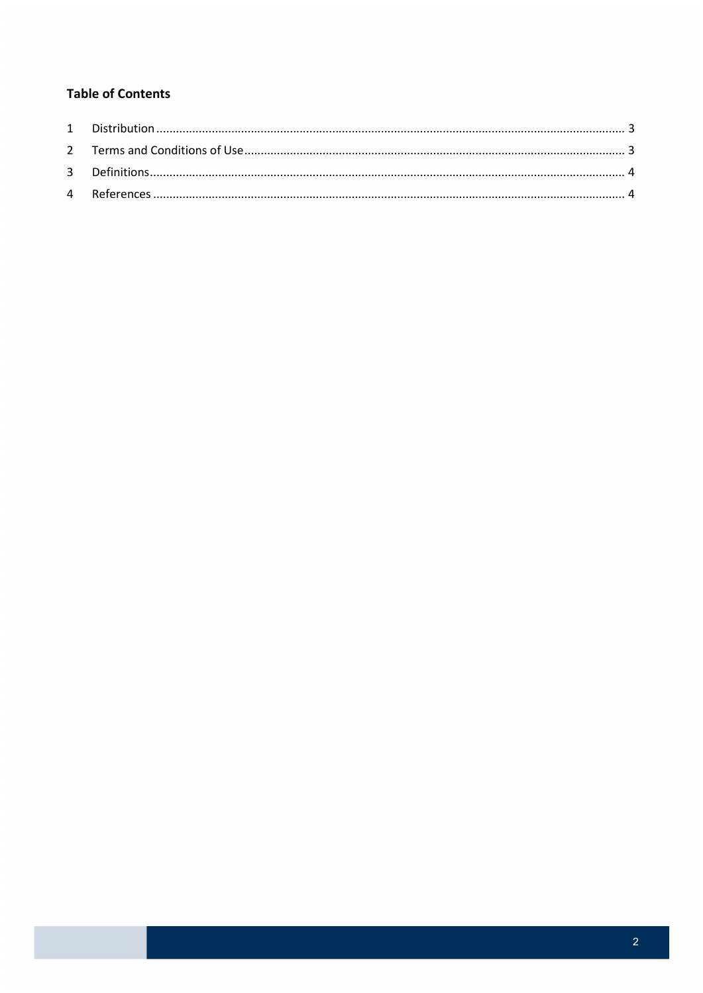## **Table of Contents**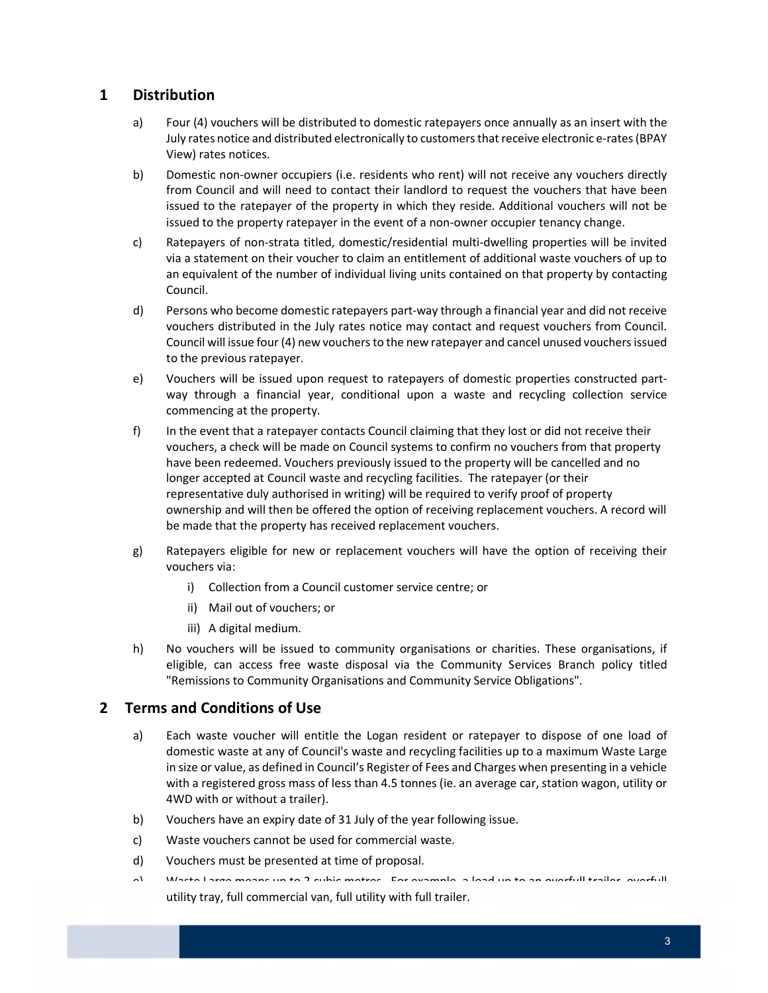### <span id="page-2-0"></span>**1 Distribution**

- a) Four (4) vouchers will be distributed to domestic ratepayers once annually as an insert with the July rates notice and distributed electronically to customers that receive electronic e-rates (BPAY View) rates notices.
- b) Domestic non‐owner occupiers (i.e. residents who rent) will not receive any vouchers directly from Council and will need to contact their landlord to request the vouchers that have been issued to the ratepayer of the property in which they reside. Additional vouchers will not be issued to the property ratepayer in the event of a non‐owner occupier tenancy change.
- c) Ratepayers of non‐strata titled, domestic/residential multi‐dwelling properties will be invited via a statement on their voucher to claim an entitlement of additional waste vouchers of up to an equivalent of the number of individual living units contained on that property by contacting Council.
- d) Persons who become domestic ratepayers part‐way through a financial year and did not receive vouchers distributed in the July rates notice may contact and request vouchers from Council. Council will issue four (4) new vouchers to the new ratepayer and cancel unused vouchers issued to the previous ratepayer.
- e) Vouchers will be issued upon request to ratepayers of domestic properties constructed part‐ way through a financial year, conditional upon a waste and recycling collection service commencing at the property.
- f) In the event that a ratepayer contacts Council claiming that they lost or did not receive their vouchers, a check will be made on Council systems to confirm no vouchers from that property have been redeemed. Vouchers previously issued to the property will be cancelled and no longer accepted at Council waste and recycling facilities. The ratepayer (or their representative duly authorised in writing) will be required to verify proof of property ownership and will then be offered the option of receiving replacement vouchers. A record will be made that the property has received replacement vouchers.
- g) Ratepayers eligible for new or replacement vouchers will have the option of receiving their vouchers via:
	- i) Collection from a Council customer service centre; or
	- ii) Mail out of vouchers; or
	- iii) A digital medium.
- h) No vouchers will be issued to community organisations or charities. These organisations, if eligible, can access free waste disposal via the Community Services Branch policy titled "Remissions to Community Organisations and Community Service Obligations".

#### **2 Terms and Conditions of Use**

- a) Each waste voucher will entitle the Logan resident or ratepayer to dispose of one load of domestic waste at any of Council's waste and recycling facilities up to a maximum Waste Large in size or value, as defined in Council's Register of Fees and Charges when presenting in a vehicle with a registered gross mass of less than 4.5 tonnes (ie. an average car, station wagon, utility or 4WD with or without a trailer).
- b) Vouchers have an expiry date of 31 July of the year following issue.
- c) Waste vouchers cannot be used for commercial waste.
- d) Vouchers must be presented at time of proposal.
- e) Waste Large means up to 2 cubic metres. For example, a load up to an overfull trailer, overfull utility tray, full commercial van, full utility with full trailer.